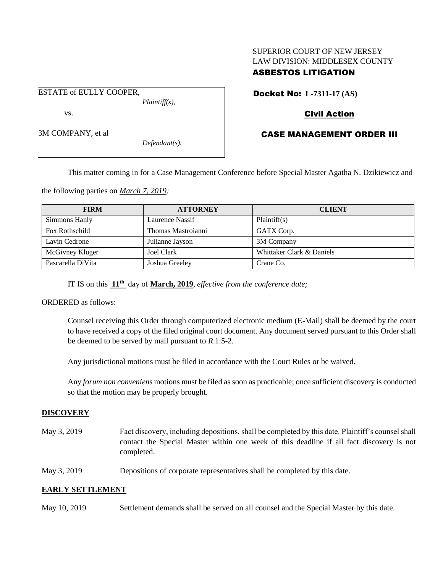# SUPERIOR COURT OF NEW JERSEY LAW DIVISION: MIDDLESEX COUNTY

# ASBESTOS LITIGATION

Docket No: **L-7311-17 (AS)** 

# Civil Action

# CASE MANAGEMENT ORDER III

This matter coming in for a Case Management Conference before Special Master Agatha N. Dzikiewicz and

the following parties on *March 7, 2019:*

| <b>FIRM</b>       | <b>ATTORNEY</b>    | <b>CLIENT</b>             |
|-------------------|--------------------|---------------------------|
| Simmons Hanly     | Laurence Nassif    | Plaintiff(s)              |
| Fox Rothschild    | Thomas Mastroianni | GATX Corp.                |
| Lavin Cedrone     | Julianne Jayson    | 3M Company                |
| McGivney Kluger   | Joel Clark         | Whittaker Clark & Daniels |
| Pascarella DiVita | Joshua Greeley     | Crane Co.                 |

IT IS on this **11th** day of **March, 2019**, *effective from the conference date;*

ORDERED as follows:

Counsel receiving this Order through computerized electronic medium (E-Mail) shall be deemed by the court to have received a copy of the filed original court document. Any document served pursuant to this Order shall be deemed to be served by mail pursuant to *R*.1:5-2.

Any jurisdictional motions must be filed in accordance with the Court Rules or be waived.

Any *forum non conveniens* motions must be filed as soon as practicable; once sufficient discovery is conducted so that the motion may be properly brought.

## **DISCOVERY**

- May 3, 2019 Fact discovery, including depositions, shall be completed by this date. Plaintiff's counsel shall contact the Special Master within one week of this deadline if all fact discovery is not completed.
- May 3, 2019 Depositions of corporate representatives shall be completed by this date.

# **EARLY SETTLEMENT**

May 10, 2019 Settlement demands shall be served on all counsel and the Special Master by this date.

vs.

ESTATE of EULLY COOPER,

3M COMPANY, et al

*Defendant(s).*

*Plaintiff(s),*